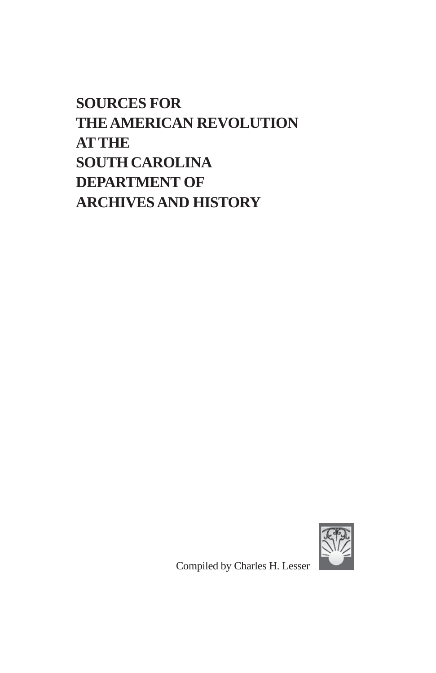# **SOURCES FOR THE AMERICAN REVOLUTION AT THE SOUTH CAROLINA DEPARTMENT OF ARCHIVES AND HISTORY**



Compiled by Charles H. Lesser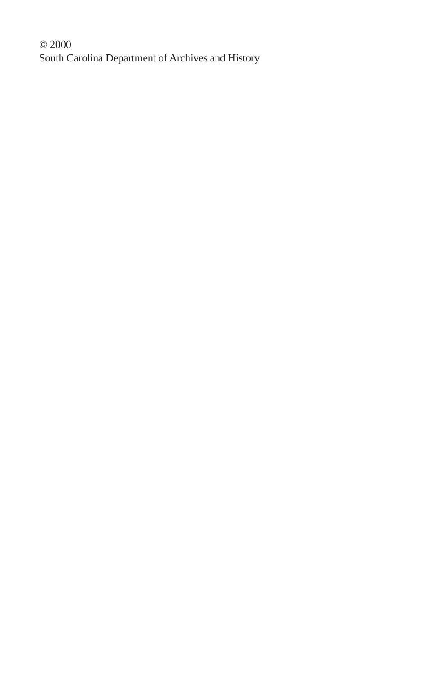© 2000 South Carolina Department of Archives and History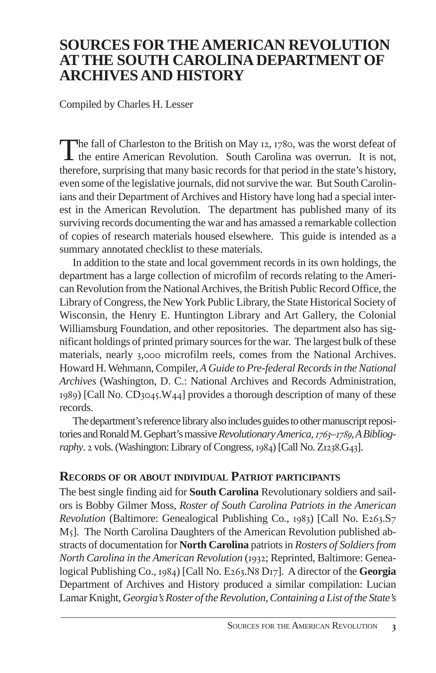# **SOURCES FOR THE AMERICAN REVOLUTION AT THE SOUTH CAROLINA DEPARTMENT OF ARCHIVES AND HISTORY**

Compiled by Charles H. Lesser

The fall of Charleston to the British on May 12, 1780, was the worst defeat of the entire American Revolution. South Carolina was overrun. It is not, therefore, surprising that many basic records for that period in the state's history, even some of the legislative journals, did not survive the war. But South Carolinians and their Department of Archives and History have long had a special interest in the American Revolution. The department has published many of its surviving records documenting the war and has amassed a remarkable collection of copies of research materials housed elsewhere. This guide is intended as a summary annotated checklist to these materials.

In addition to the state and local government records in its own holdings, the department has a large collection of microfilm of records relating to the American Revolution from the National Archives, the British Public Record Office, the Library of Congress, the New York Public Library, the State Historical Society of Wisconsin, the Henry E. Huntington Library and Art Gallery, the Colonial Williamsburg Foundation, and other repositories. The department also has significant holdings of printed primary sources for the war. The largest bulk of these materials, nearly 3,000 microfilm reels, comes from the National Archives. Howard H. Wehmann, Compiler,*A Guide to Pre-federal Records in the National Archives* (Washington, D. C.: National Archives and Records Administration,  $1989$ ) [Call No. CD $3045.W44$ ] provides a thorough description of many of these records.

The department's reference library also includes guides to other manuscript repositories and Ronald M. Gephart's massive *Revolutionary America, 1763–1789, A Bibliog*raphy. 2 vols. (Washington: Library of Congress, 1984) [Call No. Z1238.G43].

# **RECORDS OF OR ABOUT INDIVIDUAL PATRIOT PARTICIPANTS**

The best single finding aid for **South Carolina** Revolutionary soldiers and sailors is Bobby Gilmer Moss, *Roster of South Carolina Patriots in the American Revolution* (Baltimore: Genealogical Publishing Co., 1983) [Call No. E263.S7  $M<sub>5</sub>$ . The North Carolina Daughters of the American Revolution published abstracts of documentation for **North Carolina** patriots in *Rosters of Soldiers from North Carolina in the American Revolution* (1932; Reprinted, Baltimore: Genealogical Publishing Co., 1984) [Call No. E263.N8 D17]. A director of the **Georgia** Department of Archives and History produced a similar compilation: Lucian Lamar Knight, *Georgia's Roster of the Revolution, Containing a List of the State's*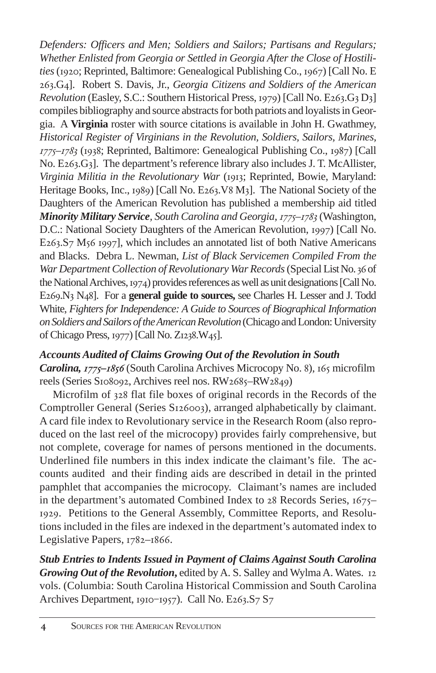*Defenders: Officers and Men; Soldiers and Sailors; Partisans and Regulars; Whether Enlisted from Georgia or Settled in Georgia After the Close of Hostilities* (1920; Reprinted, Baltimore: Genealogical Publishing Co., 1967) [Call No. E .G]. Robert S. Davis, Jr., *Georgia Citizens and Soldiers of the American Revolution* (Easley, S.C.: Southern Historical Press, 1979) [Call No. E263.G3 D3] compiles bibliography and source abstracts for both patriots and loyalists in Georgia. A **Virginia** roster with source citations is available in John H. Gwathmey, *Historical Register of Virginians in the Revolution, Soldiers, Sailors, Marines,*  $1775-1783$  (1938; Reprinted, Baltimore: Genealogical Publishing Co., 1987) [Call No.  $E263.G3$ ]. The department's reference library also includes J. T. McAllister, *Virginia Militia in the Revolutionary War* (1913; Reprinted, Bowie, Maryland: Heritage Books, Inc.,  $1989$  [Call No. E263. V8 M<sub>3</sub>]. The National Society of the Daughters of the American Revolution has published a membership aid titled *Minority Military Service, South Carolina and Georgia, 1775–1783* (Washington, D.C.: National Society Daughters of the American Revolution, 1997) [Call No.  $E263.S7 M<sub>56</sub>$  1997], which includes an annotated list of both Native Americans and Blacks. Debra L. Newman, *List of Black Servicemen Compiled From the* War Department Collection of Revolutionary War Records (Special List No. 36 of the National Archives,  $1974$ ) provides references as well as unit designations [Call No. E269.N<sub>3</sub> N<sub>4</sub>8]. For a **general guide to sources,** see Charles H. Lesser and J. Todd White, *Fighters for Independence: A Guide to Sources of Biographical Information on Soldiers and Sailors of the American Revolution* (Chicago and London: University of Chicago Press, 1977) [Call No. Z1238.W45].

# *Accounts Audited of Claims Growing Out of the Revolution in South*

*Carolina, 1775–1856* (South Carolina Archives Microcopy No. 8), 165 microfilm reels (Series S108092, Archives reel nos. RW2685-RW2849)

Microfilm of  $328$  flat file boxes of original records in the Records of the Comptroller General (Series S126003), arranged alphabetically by claimant. A card file index to Revolutionary service in the Research Room (also reproduced on the last reel of the microcopy) provides fairly comprehensive, but not complete, coverage for names of persons mentioned in the documents. Underlined file numbers in this index indicate the claimant's file. The accounts audited and their finding aids are described in detail in the printed pamphlet that accompanies the microcopy. Claimant's names are included in the department's automated Combined Index to  $28$  Records Series,  $1675-$ . Petitions to the General Assembly, Committee Reports, and Resolutions included in the files are indexed in the department's automated index to Legislative Papers,  $1782 - 1866$ .

*Stub Entries to Indents Issued in Payment of Claims Against South Carolina Growing Out of the Revolution***,** edited by A. S. Salley and Wylma A. Wates. vols. (Columbia: South Carolina Historical Commission and South Carolina Archives Department, 1910-1957). Call No. E263.S7 S7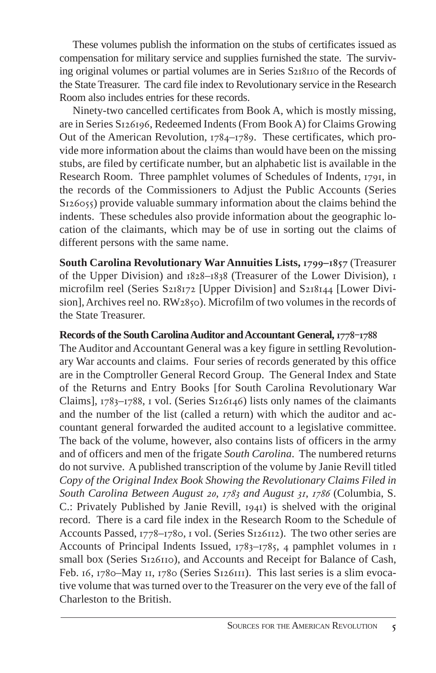These volumes publish the information on the stubs of certificates issued as compensation for military service and supplies furnished the state. The surviving original volumes or partial volumes are in Series S218110 of the Records of the State Treasurer. The card file index to Revolutionary service in the Research Room also includes entries for these records.

Ninety-two cancelled certificates from Book A, which is mostly missing, are in Series S126196, Redeemed Indents (From Book A) for Claims Growing Out of the American Revolution,  $1784-1789$ . These certificates, which provide more information about the claims than would have been on the missing stubs, are filed by certificate number, but an alphabetic list is available in the Research Room. Three pamphlet volumes of Schedules of Indents, 1791, in the records of the Commissioners to Adjust the Public Accounts (Series  $S<sub>126055</sub>$ ) provide valuable summary information about the claims behind the indents. These schedules also provide information about the geographic location of the claimants, which may be of use in sorting out the claims of different persons with the same name.

**South Carolina Revolutionary War Annuities Lists, 1799-1857 (Treasurer** of the Upper Division) and  $1828-1838$  (Treasurer of the Lower Division),  $I$ microfilm reel (Series S218172 [Upper Division] and S218144 [Lower Division], Archives reel no. RW2850). Microfilm of two volumes in the records of the State Treasurer.

**Records of the South Carolina Auditor and Accountant General,**  $1778-1788$ The Auditor and Accountant General was a key figure in settling Revolutionary War accounts and claims. Four series of records generated by this office are in the Comptroller General Record Group. The General Index and State of the Returns and Entry Books [for South Carolina Revolutionary War Claims], 1783-1788, 1 vol. (Series S126146) lists only names of the claimants and the number of the list (called a return) with which the auditor and accountant general forwarded the audited account to a legislative committee. The back of the volume, however, also contains lists of officers in the army and of officers and men of the frigate *South Carolina*. The numbered returns do not survive. A published transcription of the volume by Janie Revill titled *Copy of the Original Index Book Showing the Revolutionary Claims Filed in* South Carolina Between August 20, 1783 and August 31, 1786 (Columbia, S. C.: Privately Published by Janie Revill, 1941) is shelved with the original record. There is a card file index in the Research Room to the Schedule of Accounts Passed, 1778–1780, 1 vol. (Series S126112). The two other series are Accounts of Principal Indents Issued,  $1783-1785$ , 4 pamphlet volumes in  $I$ small box (Series S126110), and Accounts and Receipt for Balance of Cash, Feb. 16, 1780–May 11, 1780 (Series S126111). This last series is a slim evocative volume that was turned over to the Treasurer on the very eve of the fall of Charleston to the British.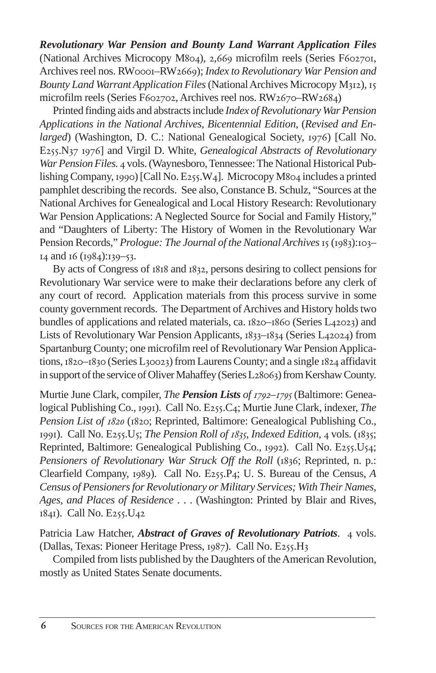*Revolutionary War Pension and Bounty Land Warrant Application Files* (National Archives Microcopy M804), 2,669 microfilm reels (Series F602701, Archives reel nos. RW0001-RW2669); *Index to Revolutionary War Pension and Bounty Land Warrant Application Files* (National Archives Microcopy M312), 15 microfilm reels (Series F602702, Archives reel nos.  $RW2670-RW2684$ )

Printed finding aids and abstracts include *Index of Revolutionary War Pension Applications in the National Archives, Bicentennial Edition*, (*Revised and Enlarged*) (Washington, D. C.: National Genealogical Society, 1976) [Call No. E255.N<sub>37</sub> 1976] and Virgil D. White, *Genealogical Abstracts of Revolutionary War Pension Files.* 4 vols. (Waynesboro, Tennessee: The National Historical Publishing Company, 1990) [Call No. E255.W4]. Microcopy M804 includes a printed pamphlet describing the records. See also, Constance B. Schulz, "Sources at the National Archives for Genealogical and Local History Research: Revolutionary War Pension Applications: A Neglected Source for Social and Family History," and "Daughters of Liberty: The History of Women in the Revolutionary War Pension Records," *Prologue: The Journal of the National Archives* 15 (1983):103–  $14$  and  $16$  ( $1984$ ): $139 - 53$ .

By acts of Congress of 1818 and 1832, persons desiring to collect pensions for Revolutionary War service were to make their declarations before any clerk of any court of record. Application materials from this process survive in some county government records. The Department of Archives and History holds two bundles of applications and related materials, ca.  $1820 - 1860$  (Series L $42023$ ) and Lists of Revolutionary War Pension Applicants,  $1833 - 1834$  (Series L $42024$ ) from Spartanburg County; one microfilm reel of Revolutionary War Pension Applications,  $1820 - 1830$  (Series L $30023$ ) from Laurens County; and a single  $1824$  affidavit in support of the service of Oliver Mahaffey (Series L28063) from Kershaw County.

Murtie June Clark, compiler, *The Pension Lists of 1792–1795* (Baltimore: Genealogical Publishing Co., 1991). Call No. E255.C4; Murtie June Clark, indexer, *The Pension List of*  $1820$  (1820; Reprinted, Baltimore: Genealogical Publishing Co., 1991). Call No. E255.U5; *The Pension Roll of 1835*, *Indexed Edition*, 4 vols. (1835; Reprinted, Baltimore: Genealogical Publishing Co., 1992). Call No. E $255$ . U $54$ ; *Pensioners of Revolutionary War Struck Off the Roll* (1836; Reprinted, n. p.: Clearfield Company, 1989). Call No. E255.P4; U. S. Bureau of the Census, *A Census of Pensioners for Revolutionary or Military Services; With Their Names, Ages, and Places of Residence* . . . (Washington: Printed by Blair and Rives, 1841). Call No. E255.U42

Patricia Law Hatcher, *Abstract of Graves of Revolutionary Patriots*. 4 vols. (Dallas, Texas: Pioneer Heritage Press, 1987). Call No. E255.H3

Compiled from lists published by the Daughters of the American Revolution, mostly as United States Senate documents.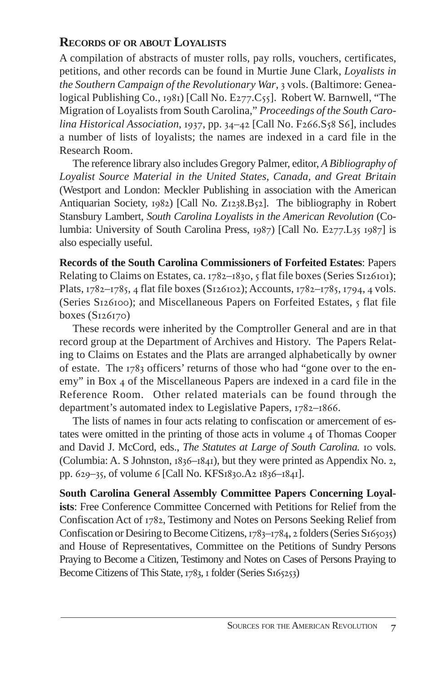# **RECORDS OF OR ABOUT LOYALISTS**

A compilation of abstracts of muster rolls, pay rolls, vouchers, certificates, petitions, and other records can be found in Murtie June Clark, *Loyalists in the Southern Campaign of the Revolutionary War, 3 vols.* (Baltimore: Genealogical Publishing Co.,  $1981$  [Call No. E $277$ .C $55$ ]. Robert W. Barnwell, "The Migration of Loyalists from South Carolina," *Proceedings of the South Carolina Historical Association*, 1937, pp. 34-42 [Call No. F266.S58 S6], includes a number of lists of loyalists; the names are indexed in a card file in the Research Room.

The reference library also includes Gregory Palmer, editor, *A Bibliography of Loyalist Source Material in the United States, Canada, and Great Britain* (Westport and London: Meckler Publishing in association with the American Antiquarian Society,  $1982$  [Call No. Z1238.B52]. The bibliography in Robert Stansbury Lambert, *South Carolina Loyalists in the American Revolution* (Columbia: University of South Carolina Press,  $1987$  [Call No. E $277$ . L $35$   $1987$ ] is also especially useful.

**Records of the South Carolina Commissioners of Forfeited Estates**: Papers Relating to Claims on Estates, ca. 1782-1830, 5 flat file boxes (Series S126101); Plats,  $1782-1785$ , 4 flat file boxes (S126102); Accounts,  $1782-1785$ ,  $1794$ , 4 vols. (Series S $126100$ ); and Miscellaneous Papers on Forfeited Estates,  $\frac{1}{2}$  flat file boxes  $(S_{12}6_{17}o)$ 

These records were inherited by the Comptroller General and are in that record group at the Department of Archives and History. The Papers Relating to Claims on Estates and the Plats are arranged alphabetically by owner of estate. The  $1783$  officers' returns of those who had "gone over to the enemy" in Box 4 of the Miscellaneous Papers are indexed in a card file in the Reference Room. Other related materials can be found through the department's automated index to Legislative Papers, 1782–1866.

The lists of names in four acts relating to confiscation or amercement of estates were omitted in the printing of those acts in volume 4 of Thomas Cooper and David J. McCord, eds., *The Statutes at Large of South Carolina*. Io vols. (Columbia: A. S Johnston,  $1836-1841$ ), but they were printed as Appendix No. 2, pp. 629-35, of volume 6 [Call No. KFS1830.A2 1836-1841].

**South Carolina General Assembly Committee Papers Concerning Loyalists**: Free Conference Committee Concerned with Petitions for Relief from the Confiscation Act of 1782, Testimony and Notes on Persons Seeking Relief from Confiscation or Desiring to Become Citizens,  $1783 - 1784$ , 2 folders (Series S165035) and House of Representatives, Committee on the Petitions of Sundry Persons Praying to Become a Citizen, Testimony and Notes on Cases of Persons Praying to Become Citizens of This State, 1783, 1 folder (Series S165253)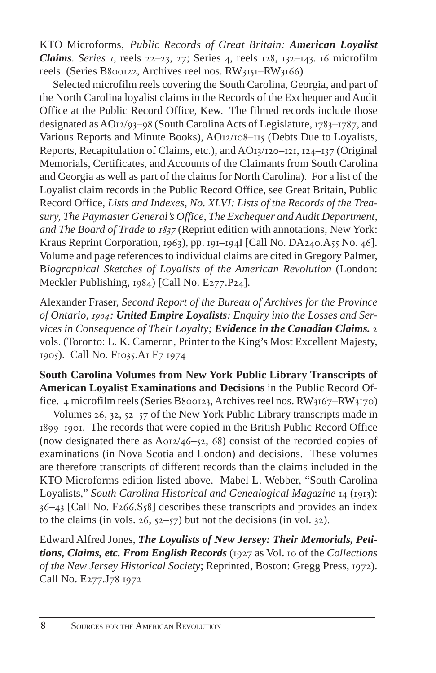KTO Microforms, *Public Records of Great Britain: American Loyalist Claims. Series 1*, reels 22–23, 27; Series 4, reels 128, 132–143. 16 microfilm reels. (Series B800122, Archives reel nos. RW3151-RW3166)

Selected microfilm reels covering the South Carolina, Georgia, and part of the North Carolina loyalist claims in the Records of the Exchequer and Audit Office at the Public Record Office, Kew. The filmed records include those designated as  $AO_{12}/93-98$  (South Carolina Acts of Legislature,  $1783-1787$ , and Various Reports and Minute Books), AO12/108–115 (Debts Due to Loyalists, Reports, Recapitulation of Claims, etc.), and  $AO<sub>13</sub>/12O-12I$ ,  $I<sub>24</sub>-137$  (Original Memorials, Certificates, and Accounts of the Claimants from South Carolina and Georgia as well as part of the claims for North Carolina). For a list of the Loyalist claim records in the Public Record Office, see Great Britain, Public Record Office, *Lists and Indexes, No. XLVI: Lists of the Records of the Treasury, The Paymaster General's Office, The Exchequer and Audit Department,* and The Board of Trade to  $1837$  (Reprint edition with annotations, New York: Kraus Reprint Corporation,  $1963$ , pp.  $191–194$  [Call No. DA240.A55 No. 46]. Volume and page references to individual claims are cited in Gregory Palmer, B*iographical Sketches of Loyalists of the American Revolution* (London: Meckler Publishing,  $1984$ ) [Call No. E $277.P24$ ].

Alexander Fraser, *Second Report of the Bureau of Archives for the Province of Ontario, : United Empire Loyalists: Enquiry into the Losses and Services in Consequence of Their Loyalty; Evidence in the Canadian Claims.* vols. (Toronto: L. K. Cameron, Printer to the King's Most Excellent Majesty, 1905). Call No. F1035.A1 F7 1974

**South Carolina Volumes from New York Public Library Transcripts of American Loyalist Examinations and Decisions** in the Public Record Office. 4 microfilm reels (Series B800123, Archives reel nos.  $RW_{3167} - RW_{3170}$ )

Volumes  $26$ ,  $32$ ,  $52$ – $57$  of the New York Public Library transcripts made in 1899–1901. The records that were copied in the British Public Record Office (now designated there as  $A_{012}/46$ –52, 68) consist of the recorded copies of examinations (in Nova Scotia and London) and decisions. These volumes are therefore transcripts of different records than the claims included in the KTO Microforms edition listed above. Mabel L. Webber, "South Carolina Loyalists," South Carolina Historical and Genealogical Magazine 14 (1913):  $36-43$  [Call No. F $266. S<sub>58</sub>$ ] describes these transcripts and provides an index to the claims (in vols.  $26$ ,  $52-57$ ) but not the decisions (in vol. 32).

Edward Alfred Jones, *The Loyalists of New Jersey: Their Memorials, Petitions, Claims, etc. From English Records* (1927 as Vol. 10 of the *Collections of the New Jersey Historical Society*; Reprinted, Boston: Gregg Press, 1972). Call No. E277.J78 1972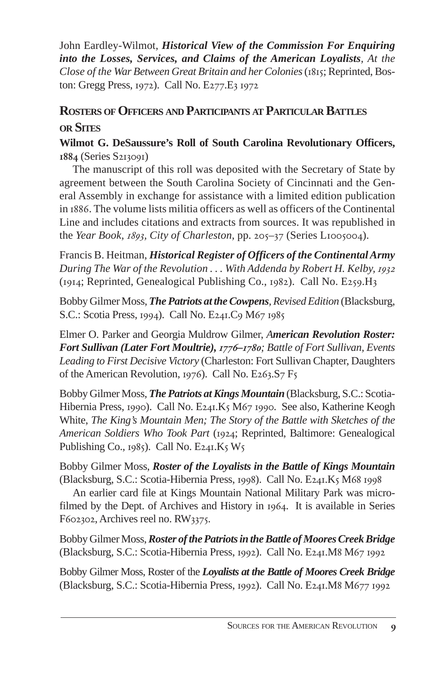John Eardley-Wilmot, *Historical View of the Commission For Enquiring into the Losses, Services, and Claims of the American Loyalists, At the Close of the War Between Great Britain and her Colonies* (; Reprinted, Boston: Gregg Press,  $1972$ ). Call No. E $277.E31972$ 

# **ROSTERS OF OFFICERS AND PARTICIPANTS AT PARTICULAR BATTLES OR SITES**

**Wilmot G. DeSaussure's Roll of South Carolina Revolutionary Officers,** 1884 (Series S213091)

The manuscript of this roll was deposited with the Secretary of State by agreement between the South Carolina Society of Cincinnati and the General Assembly in exchange for assistance with a limited edition publication in 1886. The volume lists militia officers as well as officers of the Continental Line and includes citations and extracts from sources. It was republished in the *Year Book, 1893, City of Charleston, pp. 205–37 (Series L1005004).* 

Francis B. Heitman, *Historical Register of Officers of the Continental Army During The War of the Revolution . . . With Addenda by Robert H. Kelby, 1932* (1914; Reprinted, Genealogical Publishing Co., 1982). Call No. E259.H3

Bobby Gilmer Moss,*The Patriots at the Cowpens, Revised Edition* (Blacksburg, S.C.: Scotia Press, 1994). Call No. E241.C9 M67 1985

Elmer O. Parker and Georgia Muldrow Gilmer, *American Revolution Roster: Fort Sullivan (Later Fort Moultrie), 1776–1780; Battle of Fort Sullivan, Events Leading to First Decisive Victory* (Charleston: Fort Sullivan Chapter, Daughters of the American Revolution,  $1976$ . Call No. E263.S7 F5

Bobby Gilmer Moss, *The Patriots at Kings Mountain* (Blacksburg, S.C.: Scotia-Hibernia Press, 1990). Call No. E241.K5 M67 1990. See also, Katherine Keogh White, *The King's Mountain Men; The Story of the Battle with Sketches of the American Soldiers Who Took Part* (1924; Reprinted, Baltimore: Genealogical Publishing Co., 1985). Call No. E241.K5 W5

Bobby Gilmer Moss, *Roster of the Loyalists in the Battle of Kings Mountain* (Blacksburg, S.C.: Scotia-Hibernia Press, 1998). Call No.  $E_{24}K_5M_68$  1998

An earlier card file at Kings Mountain National Military Park was microfilmed by the Dept. of Archives and History in 1964. It is available in Series F602302, Archives reel no. RW3375.

Bobby Gilmer Moss, *Roster of the Patriots in the Battle of Moores Creek Bridge* (Blacksburg, S.C.: Scotia-Hibernia Press, 1992). Call No. E $_{241}$ . M8 M67 1992

Bobby Gilmer Moss, Roster of the *Loyalists at the Battle of Moores Creek Bridge* (Blacksburg, S.C.: Scotia-Hibernia Press, 1992). Call No. E241.M8 M677 1992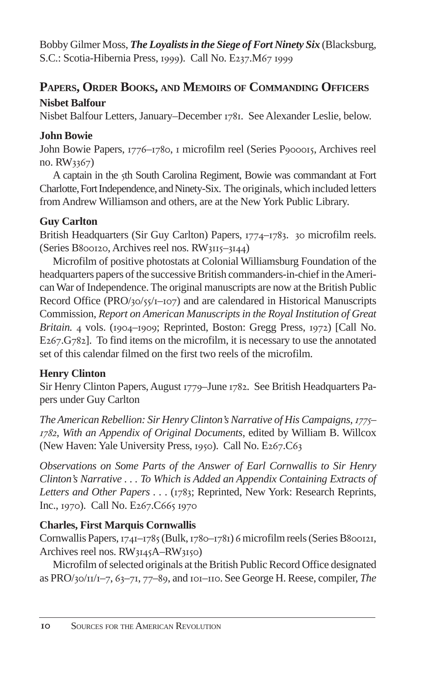Bobby Gilmer Moss, *The Loyalists in the Siege of Fort Ninety Six* (Blacksburg, S.C.: Scotia-Hibernia Press, 1999). Call No. E237.M67 1999

# **PAPERS, ORDER BOOKS, AND MEMOIRS OF COMMANDING OFFICERS Nisbet Balfour**

Nisbet Balfour Letters, January–December 1781. See Alexander Leslie, below.

# **John Bowie**

John Bowie Papers, 1776–1780, I microfilm reel (Series P900015, Archives reel no. RW3367)

A captain in the 5th South Carolina Regiment, Bowie was commandant at Fort Charlotte, Fort Independence, and Ninety-Six. The originals, which included letters from Andrew Williamson and others, are at the New York Public Library.

# **Guy Carlton**

British Headquarters (Sir Guy Carlton) Papers, 1774-1783. 30 microfilm reels. (Series B800120, Archives reel nos. RW3115-3144)

Microfilm of positive photostats at Colonial Williamsburg Foundation of the headquarters papers of the successive British commanders-in-chief in the American War of Independence. The original manuscripts are now at the British Public Record Office ( $PRO/30/5/1-107$ ) and are calendared in Historical Manuscripts Commission, *Report on American Manuscripts in the Royal Institution of Great Britain.* 4 vols. (1904–1909; Reprinted, Boston: Gregg Press, 1972) [Call No.  $E267.G782$ . To find items on the microfilm, it is necessary to use the annotated set of this calendar filmed on the first two reels of the microfilm.

# **Henry Clinton**

Sir Henry Clinton Papers, August 1779–June 1782. See British Headquarters Papers under Guy Carlton

*The American Rebellion: Sir Henry Clinton's Narrative of His Campaigns, 1775– , With an Appendix of Original Documents*, edited by William B. Willcox (New Haven: Yale University Press, 1950). Call No. E267.C63

*Observations on Some Parts of the Answer of Earl Cornwallis to Sir Henry Clinton's Narrative . . . To Which is Added an Appendix Containing Extracts of* Letters and Other Papers . . . (1783; Reprinted, New York: Research Reprints, Inc., 1970). Call No. E267.C665 1970

# **Charles, First Marquis Cornwallis**

Cornwallis Papers,  $174I-1785$  (Bulk,  $1780-1781$ ) 6 microfilm reels (Series B $80012I$ , Archives reel nos.  $RW<sub>3145</sub>A-RW<sub>3150</sub>$ 

Microfilm of selected originals at the British Public Record Office designated as PRO/30/11/1-7, 63-71, 77-89, and 101-110. See George H. Reese, compiler, *The*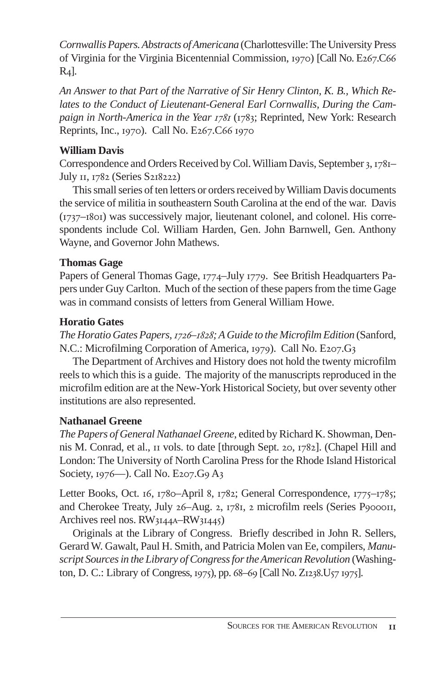*Cornwallis Papers. Abstracts of Americana* (Charlottesville: The University Press of Virginia for the Virginia Bicentennial Commission, 1970) [Call No. E267.C66 R4].

*An Answer to that Part of the Narrative of Sir Henry Clinton, K. B., Which Relates to the Conduct of Lieutenant-General Earl Cornwallis, During the Campaign in North-America in the Year 1781* (1783; Reprinted, New York: Research Reprints, Inc., 1970). Call No. E267.C66 1970

# **William Davis**

Correspondence and Orders Received by Col. William Davis, September 3, 1781– July 11, 1782 (Series S218222)

This small series of ten letters or orders received by William Davis documents the service of militia in southeastern South Carolina at the end of the war. Davis  $(1737-1801)$  was successively major, lieutenant colonel, and colonel. His correspondents include Col. William Harden, Gen. John Barnwell, Gen. Anthony Wayne, and Governor John Mathews.

# **Thomas Gage**

Papers of General Thomas Gage, 1774–July 1779. See British Headquarters Papers under Guy Carlton. Much of the section of these papers from the time Gage was in command consists of letters from General William Howe.

# **Horatio Gates**

*The Horatio Gates Papers, –; A Guide to the Microfilm Edition* (Sanford, N.C.: Microfilming Corporation of America, 1979). Call No. E207.G3

The Department of Archives and History does not hold the twenty microfilm reels to which this is a guide. The majority of the manuscripts reproduced in the microfilm edition are at the New-York Historical Society, but over seventy other institutions are also represented.

## **Nathanael Greene**

*The Papers of General Nathanael Greene*, edited by Richard K. Showman, Dennis M. Conrad, et al.,  $\pi$  vols. to date [through Sept. 20, 1782]. (Chapel Hill and London: The University of North Carolina Press for the Rhode Island Historical Society,  $1976$ —). Call No. E207.G9 A3

Letter Books, Oct. 16, 1780–April 8, 1782; General Correspondence, 1775–1785; and Cherokee Treaty, July 26–Aug. 2, 1781, 2 microfilm reels (Series P900011, Archives reel nos. RW3144A-RW31445)

Originals at the Library of Congress. Briefly described in John R. Sellers, Gerard W. Gawalt, Paul H. Smith, and Patricia Molen van Ee, compilers, *Manuscript Sources in the Library of Congress for the American Revolution* (Washington, D. C.: Library of Congress, 1975), pp. 68–69 [Call No. Z1238.U57 1975].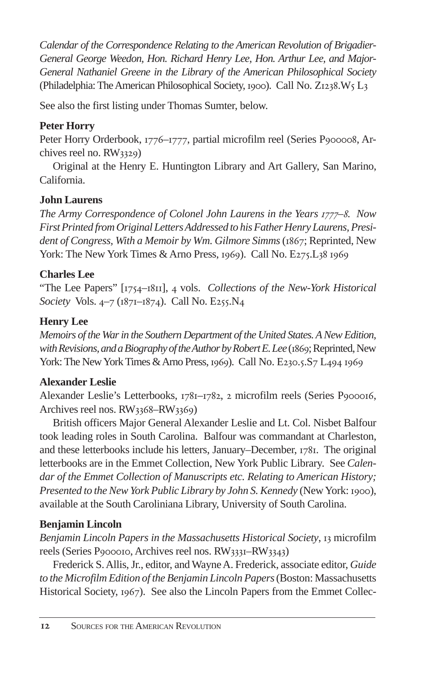*Calendar of the Correspondence Relating to the American Revolution of Brigadier-General George Weedon, Hon. Richard Henry Lee, Hon. Arthur Lee, and Major-General Nathaniel Greene in the Library of the American Philosophical Society* (Philadelphia: The American Philosophical Society, 1900). Call No. Z1238.W5 L3

See also the first listing under Thomas Sumter, below.

# **Peter Horry**

Peter Horry Orderbook, 1776–1777, partial microfilm reel (Series P900008, Archives reel no.  $RW$ <sup>3329</sup>)

Original at the Henry E. Huntington Library and Art Gallery, San Marino, California.

# **John Laurens**

*The Army Correspondence of Colonel John Laurens in the Years 1777–8. Now First Printed from Original Letters Addressed to his Father Henry Laurens, Presi*dent of Congress, With a Memoir by Wm. Gilmore Simms (1867; Reprinted, New York: The New York Times & Arno Press, 1969). Call No.  $E275$ ,  $L38$  1969

# **Charles Lee**

"The Lee Papers" [1754–1811], 4 vols. *Collections of the New-York Historical Society* Vols. 4-7 (1871-1874). Call No. E255.N4

# **Henry Lee**

*Memoirs of the War in the Southern Department of the United States. A New Edition,* with Revisions, and a Biography of the Author by Robert E. Lee (1869; Reprinted, New York: The New York Times & Arno Press,  $1969$ ). Call No. E230.5.S7 L494  $1969$ 

# **Alexander Leslie**

Alexander Leslie's Letterbooks, 1781-1782, 2 microfilm reels (Series P900016, Archives reel nos. RW3368-RW3369)

British officers Major General Alexander Leslie and Lt. Col. Nisbet Balfour took leading roles in South Carolina. Balfour was commandant at Charleston, and these letterbooks include his letters, January–December, 1781. The original letterbooks are in the Emmet Collection, New York Public Library. See *Calendar of the Emmet Collection of Manuscripts etc. Relating to American History; Presented to the New York Public Library by John S. Kennedy* (New York: 1900), available at the South Caroliniana Library, University of South Carolina.

# **Benjamin Lincoln**

*Benjamin Lincoln Papers in the Massachusetts Historical Society*, 13 microfilm reels (Series P900010, Archives reel nos. RW3331–RW3343)

Frederick S. Allis, Jr., editor, and Wayne A. Frederick, associate editor, *Guide to the Microfilm Edition of the Benjamin Lincoln Papers*(Boston: Massachusetts Historical Society, 1967). See also the Lincoln Papers from the Emmet Collec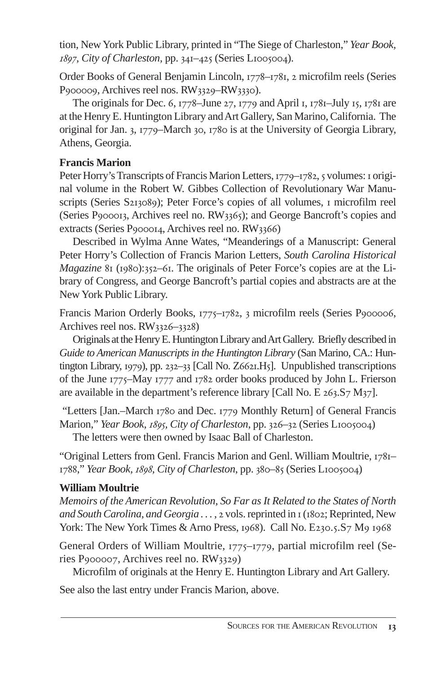tion, New York Public Library, printed in "The Siege of Charleston," *Year Book, 1897, City of Charleston, pp.* 341–425 (Series L1005004).

Order Books of General Benjamin Lincoln, 1778–1781, 2 microfilm reels (Series P900009, Archives reel nos. RW3329–RW3330).

The originals for Dec. 6,  $1778$ -June 27,  $1779$  and April 1,  $1781$ -July 15,  $1781$  are at the Henry E. Huntington Library and Art Gallery, San Marino, California. The original for Jan. 3, 1779–March 30, 1780 is at the University of Georgia Library, Athens, Georgia.

# **Francis Marion**

Peter Horry's Transcripts of Francis Marion Letters, 1779–1782, 5 volumes: 1 original volume in the Robert W. Gibbes Collection of Revolutionary War Manuscripts (Series S213089); Peter Force's copies of all volumes, I microfilm reel  $(Series P<sub>900013</sub>, Archives real no. RW<sub>3365</sub>)$ ; and George Bancroft's copies and extracts (Series P<sub>9</sub>00014, Archives reel no. RW3366)

Described in Wylma Anne Wates, "Meanderings of a Manuscript: General Peter Horry's Collection of Francis Marion Letters, *South Carolina Historical Magazine* 81 (1980):352–61. The originals of Peter Force's copies are at the Library of Congress, and George Bancroft's partial copies and abstracts are at the New York Public Library.

Francis Marion Orderly Books, 1775-1782, 3 microfilm reels (Series P900006, Archives reel nos.  $RW<sub>3326–3328</sub>$ 

Originals at the Henry E. Huntington Library and Art Gallery. Briefly described in *Guide to American Manuscripts in the Huntington Library* (San Marino, CA.: Huntington Library, 1979), pp. 232-33 [Call No. Z6621.H5]. Unpublished transcriptions of the June  $1775-May 1777$  and  $1782$  order books produced by John L. Frierson are available in the department's reference library [Call No. E  $263.57 M_{37}$ ].

"Letters [Jan.–March 1780 and Dec. 1779 Monthly Return] of General Francis Marion," *Year Book, 1895, City of Charleston*, pp. 326–32 (Series L1005004) The letters were then owned by Isaac Ball of Charleston.

"Original Letters from Genl. Francis Marion and Genl. William Moultrie, 1781– 1788," *Year Book, 1898, City of Charleston, pp.* 380–85 (Series L1005004)

## **William Moultrie**

*Memoirs of the American Revolution, So Far as It Related to the States of North and South Carolina, and Georgia* . . . , 2 vols. reprinted in 1 (1802; Reprinted, New York: The New York Times & Arno Press, 1968). Call No. E230.5.S7 M9 1968

General Orders of William Moultrie, 1775–1779, partial microfilm reel (Series P900007, Archives reel no. RW3329)

Microfilm of originals at the Henry E. Huntington Library and Art Gallery.

See also the last entry under Francis Marion, above.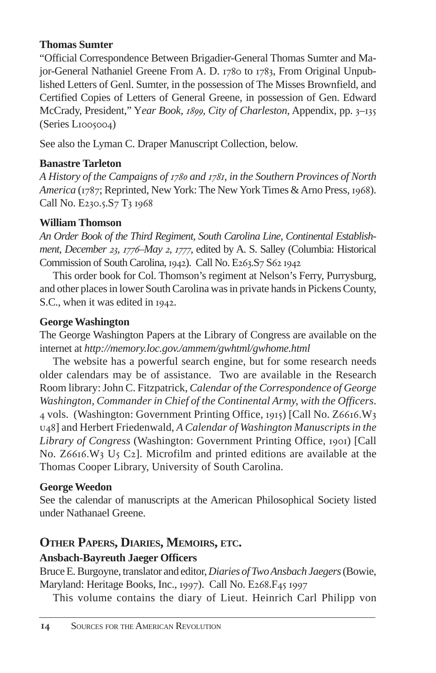#### **Thomas Sumter**

"Official Correspondence Between Brigadier-General Thomas Sumter and Major-General Nathaniel Greene From A. D. 1780 to 1783, From Original Unpublished Letters of Genl. Sumter, in the possession of The Misses Brownfield, and Certified Copies of Letters of General Greene, in possession of Gen. Edward McCrady, President," Year Book, 1899, City of Charleston, Appendix, pp. 3–135 (Series LI005004)

See also the Lyman C. Draper Manuscript Collection, below.

## **Banastre Tarleton**

*A History of the Campaigns of and , in the Southern Provinces of North America* (1787; Reprinted, New York: The New York Times & Arno Press, 1968). Call No. E230.5.S7 T3 1968

#### **William Thomson**

*An Order Book of the Third Regiment, South Carolina Line, Continental Establishment, December 23, 1776–May 2, 1777, edited by A. S. Salley (Columbia: Historical* Commission of South Carolina, 1942). Call No. E263.S7 S62 1942

This order book for Col. Thomson's regiment at Nelson's Ferry, Purrysburg, and other places in lower South Carolina was in private hands in Pickens County, S.C., when it was edited in 1942.

#### **George Washington**

The George Washington Papers at the Library of Congress are available on the internet at *http://memory.loc.gov./ammem/gwhtml/gwhome.html*

The website has a powerful search engine, but for some research needs older calendars may be of assistance. Two are available in the Research Room library: John C. Fitzpatrick, *Calendar of the Correspondence of George Washington, Commander in Chief of the Continental Army, with the Officers*. 4 vols. (Washington: Government Printing Office, 1915) [Call No.  $Z$ 6616.W3 ] and Herbert Friedenwald, *A Calendar of Washington Manuscripts in the* Library of Congress (Washington: Government Printing Office, 1901) [Call No.  $Z6616.W3 U_5 C_2$ . Microfilm and printed editions are available at the Thomas Cooper Library, University of South Carolina.

## **George Weedon**

See the calendar of manuscripts at the American Philosophical Society listed under Nathanael Greene.

# **OTHER PAPERS, DIARIES, MEMOIRS, ETC.**

## **Ansbach-Bayreuth Jaeger Officers**

Bruce E. Burgoyne, translator and editor, *Diaries of Two Ansbach Jaegers*(Bowie, Maryland: Heritage Books, Inc., 1997). Call No. E268.F45 1997

This volume contains the diary of Lieut. Heinrich Carl Philipp von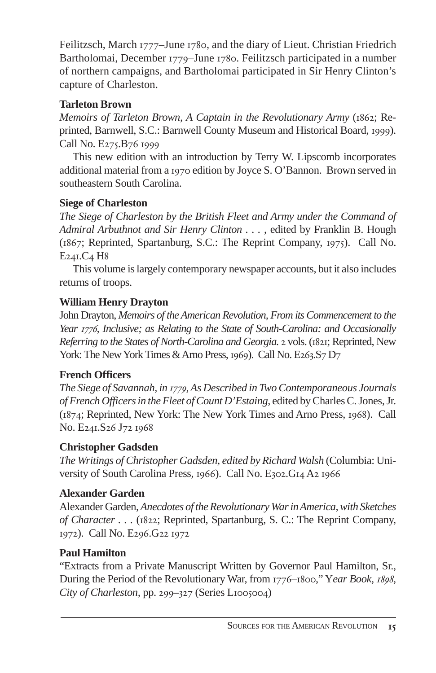Feilitzsch, March 1777–June 1780, and the diary of Lieut. Christian Friedrich Bartholomai, December 1779–June 1780. Feilitzsch participated in a number of northern campaigns, and Bartholomai participated in Sir Henry Clinton's capture of Charleston.

# **Tarleton Brown**

*Memoirs of Tarleton Brown, A Captain in the Revolutionary Army (1862; Re*printed, Barnwell, S.C.: Barnwell County Museum and Historical Board, 1999). Call No.  $E275.B761999$ 

This new edition with an introduction by Terry W. Lipscomb incorporates additional material from a 1970 edition by Joyce S. O'Bannon. Brown served in southeastern South Carolina.

# **Siege of Charleston**

*The Siege of Charleston by the British Fleet and Army under the Command of Admiral Arbuthnot and Sir Henry Clinton . . .* , edited by Franklin B. Hough (1867; Reprinted, Spartanburg, S.C.: The Reprint Company, 1975). Call No.  $E<sub>24I</sub>.C<sub>4</sub>$  H<sub>8</sub>

This volume is largely contemporary newspaper accounts, but it also includes returns of troops.

# **William Henry Drayton**

John Drayton, *Memoirs of the American Revolution, From its Commencement to the Year 1776, Inclusive; as Relating to the State of South-Carolina: and Occasionally Referring to the States of North-Carolina and Georgia.* 2 vols. (1821; Reprinted, New York: The New York Times & Arno Press, 1969). Call No.  $E_2$ 63.S $7D_7$ 

# **French Officers**

*The Siege of Savannah, in 1779, As Described in Two Contemporaneous Journals of French Officers in the Fleet of Count D'Estaing*, edited by Charles C. Jones, Jr.  $(1874;$  Reprinted, New York: The New York Times and Arno Press,  $1968$ ). Call No. E241.S26 J72 1968

# **Christopher Gadsden**

*The Writings of Christopher Gadsden, edited by Richard Walsh* (Columbia: University of South Carolina Press, 1966). Call No. E302.G14 A2 1966

# **Alexander Garden**

Alexander Garden, *Anecdotes of the Revolutionary War in America, with Sketches* of Character . . . (1822; Reprinted, Spartanburg, S. C.: The Reprint Company, 1972). Call No. E296.G22 1972

# **Paul Hamilton**

"Extracts from a Private Manuscript Written by Governor Paul Hamilton, Sr., During the Period of the Revolutionary War, from 1776–1800," Year Book, 1898, *City of Charleston, pp. 299–327 (Series L1005004)*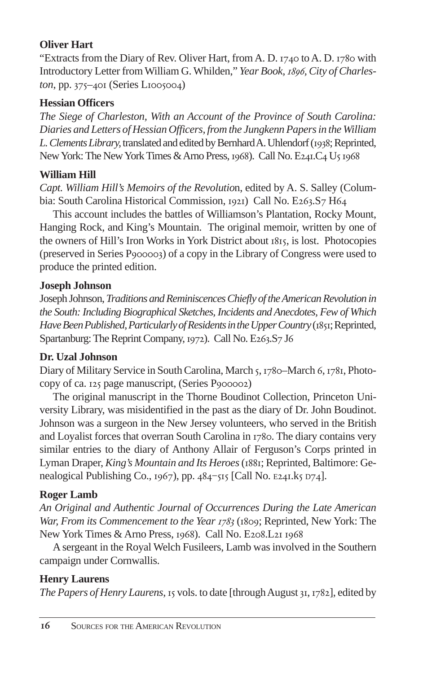#### **Oliver Hart**

"Extracts from the Diary of Rev. Oliver Hart, from A. D.  $_{1740}$  to A. D.  $_{1780}$  with Introductory Letter from William G. Whilden," *Year Book, 1896, City of Charleston*, pp. 375-401 (Series L1005004)

#### **Hessian Officers**

*The Siege of Charleston, With an Account of the Province of South Carolina: Diaries and Letters of Hessian Officers, from the Jungkenn Papers in the William* L. Clements Library, translated and edited by Bernhard A. Uhlendorf (1938; Reprinted, New York: The New York Times & Arno Press, 1968). Call No. E241.C4 U5 1968

#### **William Hill**

*Capt. William Hill's Memoirs of the Revolutio*n, edited by A. S. Salley (Columbia: South Carolina Historical Commission, 1921) Call No. E263.S7 H64

This account includes the battles of Williamson's Plantation, Rocky Mount, Hanging Rock, and King's Mountain. The original memoir, written by one of the owners of Hill's Iron Works in York District about , is lost. Photocopies (preserved in Series P<sub>9</sub>00003) of a copy in the Library of Congress were used to produce the printed edition.

#### **Joseph Johnson**

Joseph Johnson, *Traditions and Reminiscences Chiefly of the American Revolution in the South: Including Biographical Sketches, Incidents and Anecdotes, Few of Which* Have Been Published, Particularly of Residents in the Upper Country (1851; Reprinted, Spartanburg: The Reprint Company, 1972). Call No. E263.S7 J6

#### **Dr. Uzal Johnson**

Diary of Military Service in South Carolina, March 5, 1780–March 6, 1781, Photo $copy of ca. 125 page manuscript, (Series P<sub>900002</sub>)$ 

The original manuscript in the Thorne Boudinot Collection, Princeton University Library, was misidentified in the past as the diary of Dr. John Boudinot. Johnson was a surgeon in the New Jersey volunteers, who served in the British and Loyalist forces that overran South Carolina in 1780. The diary contains very similar entries to the diary of Anthony Allair of Ferguson's Corps printed in Lyman Draper, *King's Mountain and Its Heroes* (; Reprinted, Baltimore: Genealogical Publishing Co.,  $1967$ ), pp.  $484$ - $515$  [Call No. E241.k5 D74].

#### **Roger Lamb**

*An Original and Authentic Journal of Occurrences During the Late American War, From its Commencement to the Year 1783* (1809; Reprinted, New York: The New York Times & Arno Press, 1968). Call No. E208.L21 1968

A sergeant in the Royal Welch Fusileers, Lamb was involved in the Southern campaign under Cornwallis.

## **Henry Laurens**

*The Papers of Henry Laurens*, 15 vols. to date [through August 31, 1782], edited by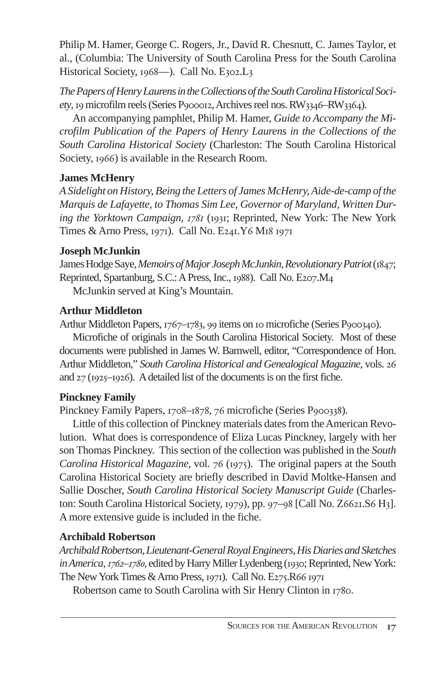Philip M. Hamer, George C. Rogers, Jr., David R. Chesnutt, C. James Taylor, et al., (Columbia: The University of South Carolina Press for the South Carolina Historical Society, 1968-). Call No. E302.L3

*The Papers of Henry Laurens in the Collections of the South Carolina Historical Society*, 19 microfilm reels (Series P900012, Archives reel nos. RW3346–RW3364).

An accompanying pamphlet, Philip M. Hamer, *Guide to Accompany the Microfilm Publication of the Papers of Henry Laurens in the Collections of the South Carolina Historical Society* (Charleston: The South Carolina Historical Society, 1966) is available in the Research Room.

# **James McHenry**

*A Sidelight on History, Being the Letters of James McHenry, Aide-de-camp of the Marquis de Lafayette, to Thomas Sim Lee, Governor of Maryland, Written During the Yorktown Campaign, 1781* (1931; Reprinted, New York: The New York Times & Arno Press, 1971). Call No. E241.Y 6 M18 1971

## **Joseph McJunkin**

James Hodge Saye, Memoirs of Major Joseph McJunkin, Revolutionary Patriot (1847; Reprinted, Spartanburg, S.C.: A Press, Inc., 1988). Call No. E207.M4

McJunkin served at King's Mountain.

# **Arthur Middleton**

Arthur Middleton Papers, 1767–1783, 99 items on 10 microfiche (Series P900340).

Microfiche of originals in the South Carolina Historical Society. Most of these documents were published in James W. Barnwell, editor, "Correspondence of Hon. Arthur Middleton," *South Carolina Historical and Genealogical Magazine*, vols. and  $27$  ( $1925-1926$ ). A detailed list of the documents is on the first fiche.

# **Pinckney Family**

Pinckney Family Papers, 1708–1878, 76 microfiche (Series P900338).

Little of this collection of Pinckney materials dates from the American Revolution. What does is correspondence of Eliza Lucas Pinckney, largely with her son Thomas Pinckney. This section of the collection was published in the *South Carolina Historical Magazine*, vol. 76 (1975). The original papers at the South Carolina Historical Society are briefly described in David Moltke-Hansen and Sallie Doscher, *South Carolina Historical Society Manuscript Guide* (Charleston: South Carolina Historical Society,  $1979$ ), pp.  $97–98$  [Call No.  $Z662I.S6H_3$ ]. A more extensive guide is included in the fiche.

# **Archibald Robertson**

*Archibald Robertson, Lieutenant-General Royal Engineers, His Diaries and Sketches in America, 1762–1780*, edited by Harry Miller Lydenberg (1930; Reprinted, New York: The New York Times & Arno Press,  $1971$ . Call No. E $275$ . R66  $1971$ 

Robertson came to South Carolina with Sir Henry Clinton in 1780.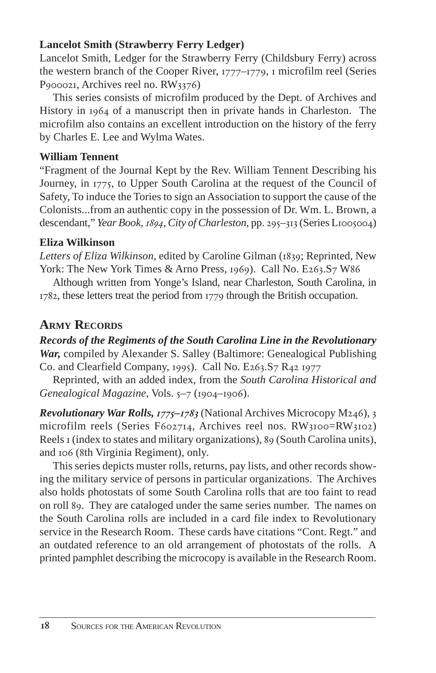# **Lancelot Smith (Strawberry Ferry Ledger)**

Lancelot Smith, Ledger for the Strawberry Ferry (Childsbury Ferry) across the western branch of the Cooper River,  $1777-1779$ , I microfilm reel (Series P900021, Archives reel no. RW3376)

This series consists of microfilm produced by the Dept. of Archives and History in 1964 of a manuscript then in private hands in Charleston. The microfilm also contains an excellent introduction on the history of the ferry by Charles E. Lee and Wylma Wates.

#### **William Tennent**

"Fragment of the Journal Kept by the Rev. William Tennent Describing his Journey, in 1775, to Upper South Carolina at the request of the Council of Safety, To induce the Tories to sign an Association to support the cause of the Colonists...from an authentic copy in the possession of Dr. Wm. L. Brown, a descendant," *Year Book, 1894, City of Charleston, pp. 295–313 (Series L1005004)* 

## **Eliza Wilkinson**

*Letters of Eliza Wilkinson*, edited by Caroline Gilman (1839; Reprinted, New York: The New York Times & Arno Press, 1969). Call No.  $E_263.57$  W86

Although written from Yonge's Island, near Charleston, South Carolina, in  $1782$ , these letters treat the period from  $1779$  through the British occupation.

# **ARMY RECORDS**

*Records of the Regiments of the South Carolina Line in the Revolutionary War,* compiled by Alexander S. Salley (Baltimore: Genealogical Publishing Co. and Clearfield Company, 1995). Call No. E263.S7 R42 1977

Reprinted, with an added index, from the *South Carolina Historical and* Genealogical Magazine, Vols. 5-7 (1904-1906).

*Revolutionary War Rolls, 1775–1783* (National Archives Microcopy M246), 3 microfilm reels (Series F602714, Archives reel nos. RW3100=RW3102) Reels I (index to states and military organizations), 89 (South Carolina units), and  $106$  (8th Virginia Regiment), only.

This series depicts muster rolls, returns, pay lists, and other records showing the military service of persons in particular organizations. The Archives also holds photostats of some South Carolina rolls that are too faint to read on roll 89. They are cataloged under the same series number. The names on the South Carolina rolls are included in a card file index to Revolutionary service in the Research Room. These cards have citations "Cont. Regt." and an outdated reference to an old arrangement of photostats of the rolls. A printed pamphlet describing the microcopy is available in the Research Room.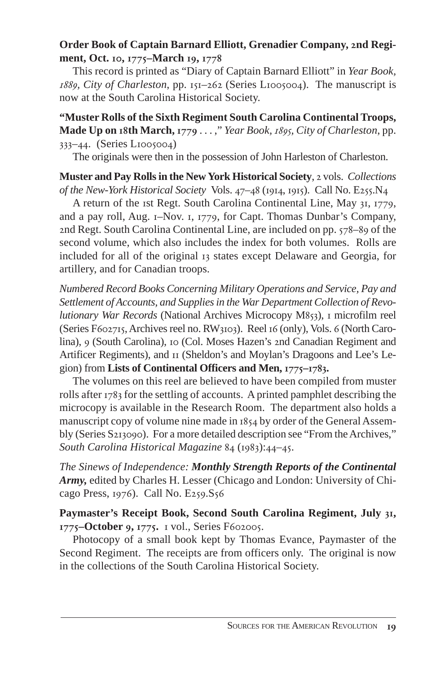# **Order Book of Captain Barnard Elliott, Grenadier Company, nd Regiment, Oct. 10, 1775–March 19, 1778**

This record is printed as "Diary of Captain Barnard Elliott" in *Year Book,* 1889, City of Charleston, pp. 151-262 (Series L1005004). The manuscript is now at the South Carolina Historical Society.

**"Muster Rolls of the Sixth Regiment South Carolina Continental Troops,** Made Up on *18th March*, *1779* . . . ," *Year Book, 1895, City of Charleston*, pp.  $333-44.$  (Series L1005004)

The originals were then in the possession of John Harleston of Charleston.

**Muster and Pay Rolls in the New York Historical Society**, 2 vols. *Collections* of the New-York Historical Society Vols. 47-48 (1914, 1915). Call No. E255.N4

A return of the 1st Regt. South Carolina Continental Line, May 31, 1779, and a pay roll, Aug.  $I-Nov. I$ ,  $I779$ , for Capt. Thomas Dunbar's Company, and Regt. South Carolina Continental Line, are included on pp.  $578-89$  of the second volume, which also includes the index for both volumes. Rolls are included for all of the original  $_{13}$  states except Delaware and Georgia, for artillery, and for Canadian troops.

*Numbered Record Books Concerning Military Operations and Service, Pay and Settlement of Accounts, and Supplies in the War Department Collection of Revolutionary War Records* (National Archives Microcopy M853), I microfilm reel (Series F602715, Archives reel no. RW3103). Reel 16 (only), Vols. 6 (North Carolina), 9 (South Carolina), 10 (Col. Moses Hazen's 2nd Canadian Regiment and Artificer Regiments), and  $\pi$  (Sheldon's and Moylan's Dragoons and Lee's Legion) from **Lists of Continental Officers and Men,**  $1775-1783$ .

The volumes on this reel are believed to have been compiled from muster rolls after 1783 for the settling of accounts. A printed pamphlet describing the microcopy is available in the Research Room. The department also holds a manuscript copy of volume nine made in  $1854$  by order of the General Assembly (Series S213090). For a more detailed description see "From the Archives," *South Carolina Historical Magazine* 84 (1983):44-45.

*The Sinews of Independence: Monthly Strength Reports of the Continental Army,* edited by Charles H. Lesser (Chicago and London: University of Chicago Press, 1976). Call No. E259.S56

**Paymaster's Receipt Book, Second South Carolina Regiment, July ,** 1775-October 9, 1775. I vol., Series F602005.

Photocopy of a small book kept by Thomas Evance, Paymaster of the Second Regiment. The receipts are from officers only. The original is now in the collections of the South Carolina Historical Society.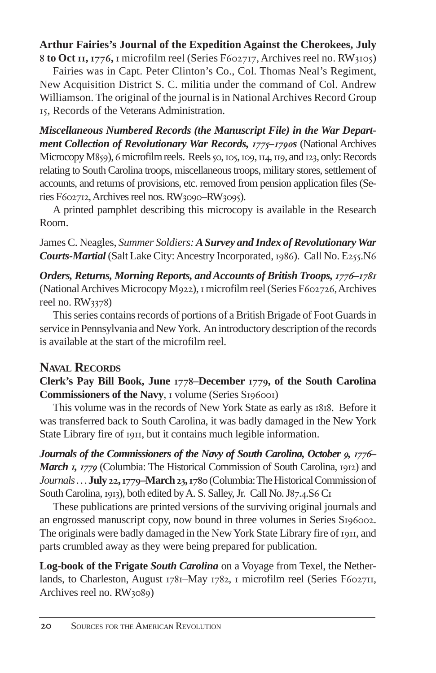#### **Arthur Fairies's Journal of the Expedition Against the Cherokees, July** 8 to Oct **11, 1776**, I microfilm reel (Series F602717, Archives reel no. RW3105)

Fairies was in Capt. Peter Clinton's Co., Col. Thomas Neal's Regiment, New Acquisition District S. C. militia under the command of Col. Andrew Williamson. The original of the journal is in National Archives Record Group , Records of the Veterans Administration.

*Miscellaneous Numbered Records (the Manuscript File) in the War Department Collection of Revolutionary War Records, 1775-1790S* (National Archives Microcopy M859), 6 microfilm reels. Reels 50, 105, 109, 114, 119, and 123, only: Records relating to South Carolina troops, miscellaneous troops, military stores, settlement of accounts, and returns of provisions, etc. removed from pension application files (Series F602712, Archives reel nos. RW3090-RW3095).

A printed pamphlet describing this microcopy is available in the Research Room.

James C. Neagles, *Summer Soldiers: A Survey and Index of Revolutionary War Courts-Martial* (Salt Lake City: Ancestry Incorporated, 1986). Call No. E255.N6

*Orders, Returns, Morning Reports, and Accounts of British Troops, 1776–1781* (National Archives Microcopy M922), I microfilm reel (Series F602726, Archives reel no.  $RW$ <sub>3378</sub>)

This series contains records of portions of a British Brigade of Foot Guards in service in Pennsylvania and New York. An introductory description of the records is available at the start of the microfilm reel.

## **NAVAL RECORDS**

## **Clerk's Pay Bill Book, June 1778–December 1779, of the South Carolina Commissioners of the Navy**, I volume (Series S196001)

This volume was in the records of New York State as early as 1818. Before it was transferred back to South Carolina, it was badly damaged in the New York State Library fire of 1911, but it contains much legible information.

*Journals of the Commissioners of the Navy of South Carolina, October 9, 1776– March <sub>I</sub>, 1779* (Columbia: The Historical Commission of South Carolina, 1912) and *Journals*... July 22, 1779–March 23, 1780 (Columbia: The Historical Commission of South Carolina, 1913), both edited by A. S. Salley, Jr. Call No. J87.4.S6 C1

These publications are printed versions of the surviving original journals and an engrossed manuscript copy, now bound in three volumes in Series S196002. The originals were badly damaged in the New York State Library fire of 1911, and parts crumbled away as they were being prepared for publication.

**Log-book of the Frigate** *South Carolina* on a Voyage from Texel, the Netherlands, to Charleston, August 1781-May 1782, I microfilm reel (Series F602711, Archives reel no. RW3089)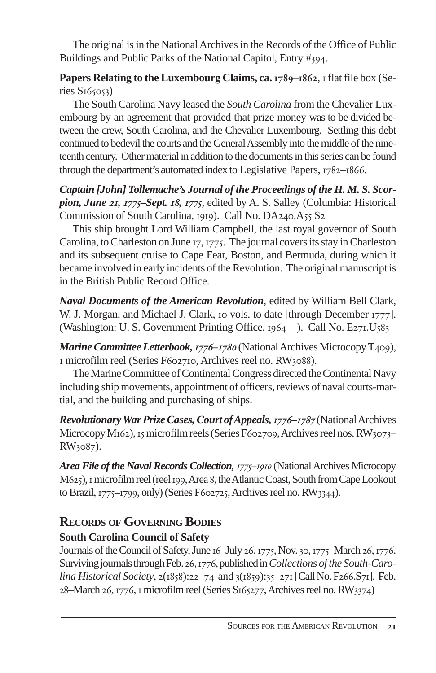The original is in the National Archives in the Records of the Office of Public Buildings and Public Parks of the National Capitol, Entry #394.

**Papers Relating to the Luxembourg Claims, ca. 1789–1862, I flat file box (Se** $ries S165053)$ 

The South Carolina Navy leased the *South Carolina* from the Chevalier Luxembourg by an agreement that provided that prize money was to be divided between the crew, South Carolina, and the Chevalier Luxembourg. Settling this debt continued to bedevil the courts and the General Assembly into the middle of the nineteenth century. Other material in addition to the documents in this series can be found through the department's automated index to Legislative Papers, 1782-1866.

*Captain [John] Tollemache's Journal of the Proceedings of the H. M. S. Scorpion, June 21, 1775–Sept. 18, 1775,* edited by A. S. Salley (Columbia: Historical Commission of South Carolina, 1919). Call No. DA240.A55 S2

This ship brought Lord William Campbell, the last royal governor of South Carolina, to Charleston on June  $17, 1775$ . The journal covers its stay in Charleston and its subsequent cruise to Cape Fear, Boston, and Bermuda, during which it became involved in early incidents of the Revolution. The original manuscript is in the British Public Record Office.

*Naval Documents of the American Revolution*, edited by William Bell Clark, W. J. Morgan, and Michael J. Clark, 10 vols. to date [through December 1777]. (Washington: U.S. Government Printing Office,  $1964$ —). Call No. E271.U583

*Marine Committee Letterbook, 1776–1780* (National Archives Microcopy T<sub>409</sub>), I microfilm reel (Series F602710, Archives reel no. RW3088).

The Marine Committee of Continental Congress directed the Continental Navy including ship movements, appointment of officers, reviews of naval courts-martial, and the building and purchasing of ships.

*Revolutionary War Prize Cases, Court of Appeals, 1776–1787* (National Archives Microcopy M162), 15 microfilm reels (Series F602709, Archives reel nos. RW3073-RW3087).

*Area File of the Naval Records Collection,*  $_{I775}$ *–1910* (National Archives Microcopy M625), I microfilm reel (reel 199, Area 8, the Atlantic Coast, South from Cape Lookout to Brazil, 1775–1799, only) (Series F602725, Archives reel no. RW3344).

# **RECORDS OF GOVERNING BODIES**

# **South Carolina Council of Safety**

Journals of the Council of Safety, June 16-July 26, 1775, Nov. 30, 1775-March 26, 1776. Surviving journals through Feb. 26, 1776, published in *Collections of the South-Carolina Historical Society*,  $2(1858):22-74$  and  $3(1859):35-271$  [Call No. F $266.S71$ ]. Feb. 28–March 26, 1776, I microfilm reel (Series S165277, Archives reel no. RW3374)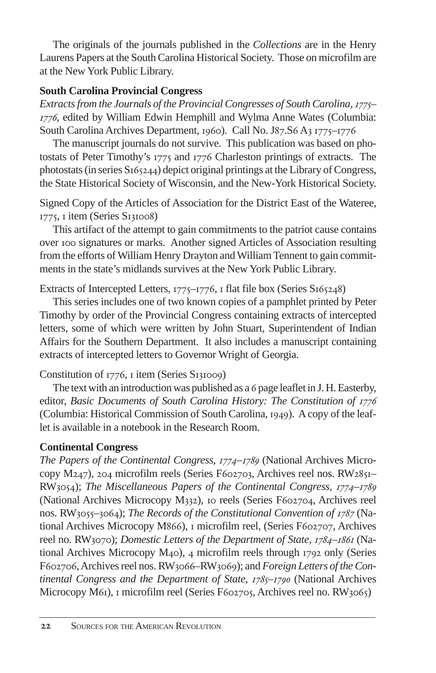The originals of the journals published in the *Collections* are in the Henry Laurens Papers at the South Carolina Historical Society. Those on microfilm are at the New York Public Library.

# **South Carolina Provincial Congress**

*Extracts from the Journals of the Provincial Congresses of South Carolina, 1775–* 1776, edited by William Edwin Hemphill and Wylma Anne Wates (Columbia: South Carolina Archives Department, 1960). Call No. J87.S6 A3 1775–1776

The manuscript journals do not survive. This publication was based on photostats of Peter Timothy's  $1775$  and  $1776$  Charleston printings of extracts. The photostats (in series  $S_165244$ ) depict original printings at the Library of Congress, the State Historical Society of Wisconsin, and the New-York Historical Society.

Signed Copy of the Articles of Association for the District East of the Wateree,  $1775$ ,  $\bar{i}$  item (Series S $131008$ )

This artifact of the attempt to gain commitments to the patriot cause contains over 100 signatures or marks. Another signed Articles of Association resulting from the efforts of William Henry Drayton and William Tennent to gain commitments in the state's midlands survives at the New York Public Library.

Extracts of Intercepted Letters,  $1775-1776$ , I flat file box (Series S165248)

This series includes one of two known copies of a pamphlet printed by Peter Timothy by order of the Provincial Congress containing extracts of intercepted letters, some of which were written by John Stuart, Superintendent of Indian Affairs for the Southern Department. It also includes a manuscript containing extracts of intercepted letters to Governor Wright of Georgia.

## Constitution of  $1776$ ,  $1$  item (Series S $131009$ )

The text with an introduction was published as a 6 page leaflet in J. H. Easterby, editor, *Basic Documents of South Carolina History: The Constitution of 1776* (Columbia: Historical Commission of South Carolina,  $1949$ ). A copy of the leaflet is available in a notebook in the Research Room.

# **Continental Congress**

*The Papers of the Continental Congress, 1774–1789* (National Archives Microcopy M247), 204 microfilm reels (Series F602703, Archives reel nos. RW2851– RW<sub>3054</sub>); *The Miscellaneous Papers of the Continental Congress,*  $1774-1789$ (National Archives Microcopy M332), to reels (Series F602704, Archives reel nos. RW<sub>3055</sub>-3064); *The Records of the Constitutional Convention of 1787* (National Archives Microcopy M866), I microfilm reel, (Series F602707, Archives reel no. RW<sub>3070</sub>); *Domestic Letters of the Department of State,*  $1784 - 1861$  (National Archives Microcopy  $M_{40}$ ), 4 microfilm reels through  $_{1792}$  only (Series F602706, Archives reel nos. RW<sub>3066</sub>-RW<sub>3069</sub>; and *Foreign Letters of the Continental Congress and the Department of State,*  $1785-1790$  *(National Archives* Microcopy M61), I microfilm reel (Series F602705, Archives reel no. RW3065)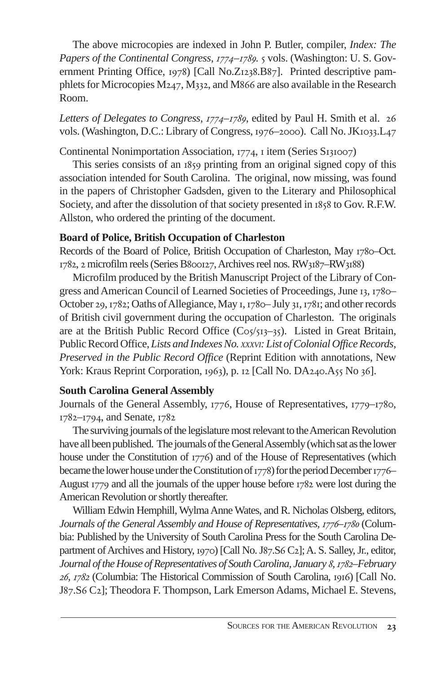The above microcopies are indexed in John P. Butler, compiler, *Index: The Papers of the Continental Congress, 1774–1789.* 5 vols. (Washington: U.S. Government Printing Office, 1978) [Call No.Z1238.B87]. Printed descriptive pamphlets for Microcopies  $M_{247}$ ,  $M_{332}$ , and M866 are also available in the Research Room.

*Letters of Delegates to Congress, 1774–1789*, edited by Paul H. Smith et al. 26 vols. (Washington, D.C.: Library of Congress, 1976–2000). Call No. JK1033.L47

Continental Nonimportation Association, 1774, 1 item (Series S131007)

This series consists of an 1859 printing from an original signed copy of this association intended for South Carolina. The original, now missing, was found in the papers of Christopher Gadsden, given to the Literary and Philosophical Society, and after the dissolution of that society presented in  $1858$  to Gov. R.F.W. Allston, who ordered the printing of the document.

## **Board of Police, British Occupation of Charleston**

Records of the Board of Police, British Occupation of Charleston, May 1780-Oct. 1782, 2 microfilm reels (Series B800127, Archives reel nos. RW3187–RW3188)

Microfilm produced by the British Manuscript Project of the Library of Congress and American Council of Learned Societies of Proceedings, June 13, 1780– October 29, 1782; Oaths of Allegiance, May 1, 1780– July 31, 1781; and other records of British civil government during the occupation of Charleston. The originals are at the British Public Record Office  $(C_0/_{513-35})$ . Listed in Great Britain, Public Record Office, *Lists and Indexes No. XXXVI: List of Colonial Office Records, Preserved in the Public Record Office* (Reprint Edition with annotations, New York: Kraus Reprint Corporation, 1963), p. 12 [Call No. DA240.A55 No 36].

# **South Carolina General Assembly**

Journals of the General Assembly, 1776, House of Representatives, 1779–1780, 1782–1794, and Senate, 1782

The surviving journals of the legislature most relevant to the American Revolution have all been published. The journals of the General Assembly (which sat as the lower house under the Constitution of  $1776$ ) and of the House of Representatives (which became the lower house under the Constitution of  $1778$ ) for the period December  $1776-$ August  $1779$  and all the journals of the upper house before  $1782$  were lost during the American Revolution or shortly thereafter.

William Edwin Hemphill, Wylma Anne Wates, and R. Nicholas Olsberg, editors, *Journals of the General Assembly and House of Representatives, 1776–1780* (Columbia: Published by the University of South Carolina Press for the South Carolina Department of Archives and History, 1970) [Call No. J87.S6 C2]; A. S. Salley, Jr., editor, *Journal of the House of Representatives of South Carolina, January , –February* 26, 1782 (Columbia: The Historical Commission of South Carolina, 1916) [Call No. J87.S6 C2]; Theodora F. Thompson, Lark Emerson Adams, Michael E. Stevens,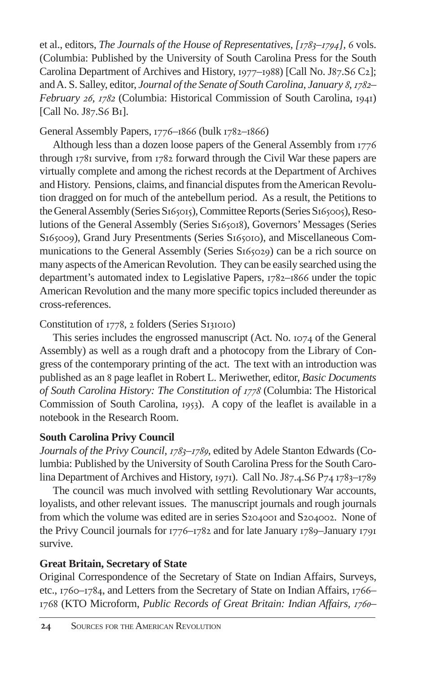et al., editors, *The Journals of the House of Representatives, [1783–1794]*, 6 vols. (Columbia: Published by the University of South Carolina Press for the South Carolina Department of Archives and History, 1977-1988) [Call No. J87.S6 C2]; and A. S. Salley, editor, *Journal of the Senate of South Carolina, January 8, 1782– February 26, 1782* (Columbia: Historical Commission of South Carolina, 1941)  $[Call No. J87.S6 B<sub>I</sub>].$ 

#### General Assembly Papers,  $1776 - 1866$  (bulk  $1782 - 1866$ )

Although less than a dozen loose papers of the General Assembly from 1776 through  $r_781$  survive, from  $r_782$  forward through the Civil War these papers are virtually complete and among the richest records at the Department of Archives and History. Pensions, claims, and financial disputes from the American Revolution dragged on for much of the antebellum period. As a result, the Petitions to the General Assembly (Series S165015), Committee Reports (Series S165005), Resolutions of the General Assembly (Series S165018), Governors' Messages (Series S165009), Grand Jury Presentments (Series S165010), and Miscellaneous Communications to the General Assembly (Series S165029) can be a rich source on many aspects of the American Revolution. They can be easily searched using the department's automated index to Legislative Papers, 1782–1866 under the topic American Revolution and the many more specific topics included thereunder as cross-references.

## Constitution of 1778, 2 folders (Series S131010)

This series includes the engrossed manuscript (Act. No. 1074 of the General Assembly) as well as a rough draft and a photocopy from the Library of Congress of the contemporary printing of the act. The text with an introduction was published as an 8 page leaflet in Robert L. Meriwether, editor, *Basic Documents* of South Carolina History: The Constitution of 1778 (Columbia: The Historical Commission of South Carolina, 1953). A copy of the leaflet is available in a notebook in the Research Room.

## **South Carolina Privy Council**

*Journals of the Privy Council, 1783–1789*, edited by Adele Stanton Edwards (Columbia: Published by the University of South Carolina Press for the South Carolina Department of Archives and History,  $1971$ . Call No. J87.4.S6 P $74.1783$ –1789

The council was much involved with settling Revolutionary War accounts, loyalists, and other relevant issues. The manuscript journals and rough journals from which the volume was edited are in series S204001 and S204002. None of the Privy Council journals for  $1776 - 1782$  and for late January  $1789 -$ January  $1791$ survive.

# **Great Britain, Secretary of State**

Original Correspondence of the Secretary of State on Indian Affairs, Surveys, etc., 1760-1784, and Letters from the Secretary of State on Indian Affairs, 1766-1768 (KTO Microform, *Public Records of Great Britain: Indian Affairs, 1760–*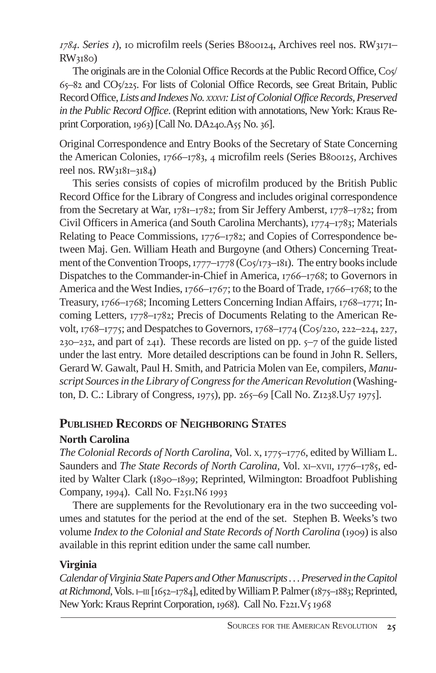*1784. Series 1*), io microfilm reels (Series B800124, Archives reel nos. RW3171–  $RW<sub>3180</sub>$ 

The originals are in the Colonial Office Records at the Public Record Office,  $C<sub>05</sub>$  $65-82$  and  $CO<sub>5</sub>/225$ . For lists of Colonial Office Records, see Great Britain, Public Record Office, *Lists and Indexes No. XXXVI: List of Colonial Office Records, Preserved in the Public Record Office*. (Reprint edition with annotations, New York: Kraus Reprint Corporation,  $1963$  [Call No. DA240.A55 No. 36].

Original Correspondence and Entry Books of the Secretary of State Concerning the American Colonies, 1766–1783, 4 microfilm reels (Series B800125, Archives reel nos.  $RW_{3181-3184}$ 

This series consists of copies of microfilm produced by the British Public Record Office for the Library of Congress and includes original correspondence from the Secretary at War,  $1781-1782$ ; from Sir Jeffery Amberst,  $1778-1782$ ; from Civil Officers in America (and South Carolina Merchants), 1774-1783; Materials Relating to Peace Commissions, 1776–1782; and Copies of Correspondence between Maj. Gen. William Heath and Burgoyne (and Others) Concerning Treatment of the Convention Troops,  $1777-1778$  (Cos/ $173-181$ ). The entry books include Dispatches to the Commander-in-Chief in America, 1766–1768; to Governors in America and the West Indies, 1766–1767; to the Board of Trade, 1766–1768; to the Treasury, 1766–1768; Incoming Letters Concerning Indian Affairs, 1768–1771; Incoming Letters, 1778–1782; Precis of Documents Relating to the American Revolt,  $1768 - 1775$ ; and Despatches to Governors,  $1768 - 1774$  (Cos/220, 222–224, 227,  $230-232$ , and part of  $24I$ ). These records are listed on pp.  $5-7$  of the guide listed under the last entry. More detailed descriptions can be found in John R. Sellers, Gerard W. Gawalt, Paul H. Smith, and Patricia Molen van Ee, compilers, *Manuscript Sources in the Library of Congress for the American Revolution* (Washington, D. C.: Library of Congress, 1975), pp. 265–69 [Call No. Z1238.U57 1975].

# **PUBLISHED RECORDS OF NEIGHBORING STATES**

# **North Carolina**

*The Colonial Records of North Carolina, Vol. x, 1775–1776, edited by William L.* Saunders and *The State Records of North Carolina*, Vol. XI-XVII, 1776-1785, edited by Walter Clark (1890–1899; Reprinted, Wilmington: Broadfoot Publishing Company, 1994). Call No. F251. N6 1993

There are supplements for the Revolutionary era in the two succeeding volumes and statutes for the period at the end of the set. Stephen B. Weeks's two volume *Index to the Colonial and State Records of North Carolina* (1909) is also available in this reprint edition under the same call number.

# **Virginia**

*Calendar of Virginia State Papers and Other Manuscripts . . . Preserved in the Capitol at Richmond*, Vols. I–III [1652–1784], edited by William P. Palmer (1875–1883; Reprinted, New York: Kraus Reprint Corporation, 1968). Call No. F221. V5 1968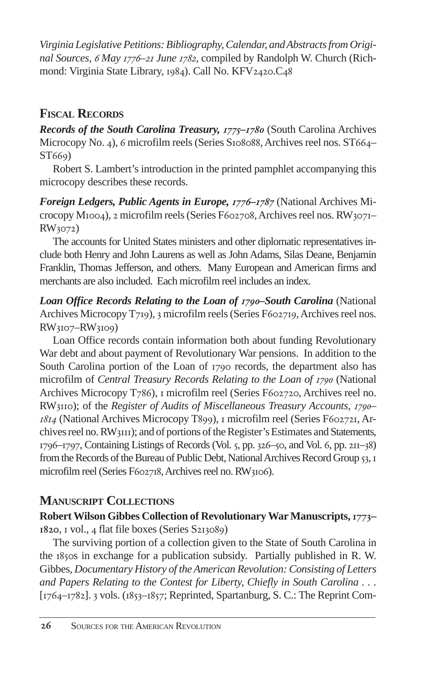*Virginia Legislative Petitions: Bibliography, Calendar, and Abstracts from Original Sources, 6 May 1776-21 June 1782, compiled by Randolph W. Church (Rich*mond: Virginia State Library, 1984). Call No. KFV2420.C48

# **FISCAL RECORDS**

*Records of the South Carolina Treasury, 1775–1780* (South Carolina Archives Microcopy No. 4), 6 microfilm reels (Series S108088, Archives reel nos. ST664–  $ST<sub>669</sub>$ 

Robert S. Lambert's introduction in the printed pamphlet accompanying this microcopy describes these records.

*Foreign Ledgers, Public Agents in Europe, 1776–1787* (National Archives Microcopy M1004), 2 microfilm reels (Series F602708, Archives reel nos. RW3071–  $RW<sub>3072</sub>$ )

The accounts for United States ministers and other diplomatic representatives include both Henry and John Laurens as well as John Adams, Silas Deane, Benjamin Franklin, Thomas Jefferson, and others. Many European and American firms and merchants are also included. Each microfilm reel includes an index.

**Loan Office Records Relating to the Loan of 1790–South Carolina** (National Archives Microcopy  $T_{719}$ ), 3 microfilm reels (Series F602719, Archives reel nos.  $RW<sub>3107</sub> - RW<sub>3109</sub>)$ 

Loan Office records contain information both about funding Revolutionary War debt and about payment of Revolutionary War pensions. In addition to the South Carolina portion of the Loan of 1790 records, the department also has microfilm of *Central Treasury Records Relating to the Loan of 1790* (National Archives Microcopy T786), I microfilm reel (Series F602720, Archives reel no. RW<sub>3IIO</sub>); of the *Register of Audits of Miscellaneous Treasury Accounts, 1790–* 1814 (National Archives Microcopy T899), I microfilm reel (Series F602721, Archives reel no. RW); and of portions of the Register's Estimates and Statements, 1796–1797, Containing Listings of Records (Vol. 5, pp. 326–50, and Vol. 6, pp. 211–38) from the Records of the Bureau of Public Debt, National Archives Record Group 53, I microfilm reel (Series F602718, Archives reel no. RW3106).

# **MANUSCRIPT COLLECTIONS**

**Robert Wilson Gibbes Collection of Revolutionary War Manuscripts, –**  $1820$ ,  $1 \text{ vol.}$ ,  $4 \text{ flat file boxes}$  (Series S213089)

The surviving portion of a collection given to the State of South Carolina in the 1850s in exchange for a publication subsidy. Partially published in R. W. Gibbes, *Documentary History of the American Revolution: Consisting of Letters and Papers Relating to the Contest for Liberty, Chiefly in South Carolina . . .*  $\left[1764-1782\right]$ . 3 vols. (1853–1857; Reprinted, Spartanburg, S. C.: The Reprint Com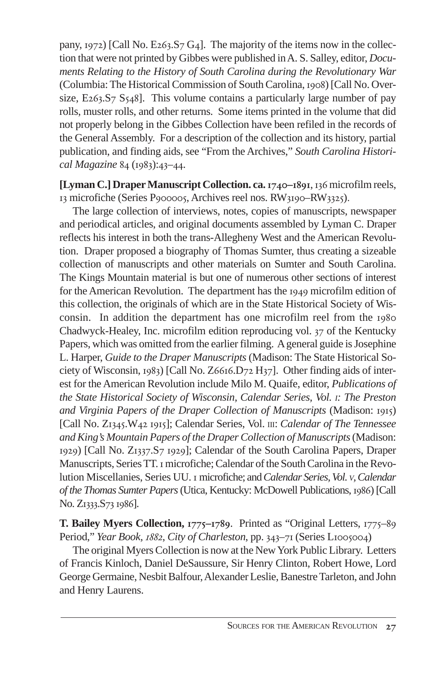pany,  $1972$ ) [Call No. E263.S7 G<sub>4</sub>]. The majority of the items now in the collection that were not printed by Gibbes were published in A. S. Salley, editor, *Documents Relating to the History of South Carolina during the Revolutionary War* (Columbia: The Historical Commission of South Carolina, 1908) [Call No. Oversize,  $E_263.S7 S_548$ . This volume contains a particularly large number of pay rolls, muster rolls, and other returns. Some items printed in the volume that did not properly belong in the Gibbes Collection have been refiled in the records of the General Assembly. For a description of the collection and its history, partial publication, and finding aids, see "From the Archives," *South Carolina Historical Magazine* 84 (1983):43-44.

**[Lyman C.] Draper Manuscript Collection. ca.** 1740–1891, 136 microfilm reels, 13 microfiche (Series P900005, Archives reel nos. RW3190–RW3325).

The large collection of interviews, notes, copies of manuscripts, newspaper and periodical articles, and original documents assembled by Lyman C. Draper reflects his interest in both the trans-Allegheny West and the American Revolution. Draper proposed a biography of Thomas Sumter, thus creating a sizeable collection of manuscripts and other materials on Sumter and South Carolina. The Kings Mountain material is but one of numerous other sections of interest for the American Revolution. The department has the 1949 microfilm edition of this collection, the originals of which are in the State Historical Society of Wisconsin. In addition the department has one microfilm reel from the Chadwyck-Healey, Inc. microfilm edition reproducing vol.  $37$  of the Kentucky Papers, which was omitted from the earlier filming. A general guide is Josephine L. Harper, *Guide to the Draper Manuscripts* (Madison: The State Historical Society of Wisconsin,  $1983$ ) [Call No. Z6616.D72 H37]. Other finding aids of interest for the American Revolution include Milo M. Quaife, editor, *Publications of the State Historical Society of Wisconsin, Calendar Series, Vol. I: The Preston and Virginia Papers of the Draper Collection of Manuscripts* (Madison: 1915) [Call No. Z1345.W42 1915]; Calendar Series, Vol. III: *Calendar of The Tennessee and King's Mountain Papers of the Draper Collection of Manuscripts* (Madison: 1929) [Call No. Z1337.S7 1929]; Calendar of the South Carolina Papers, Draper Manuscripts, Series TT. microfiche; Calendar of the South Carolina in the Revolution Miscellanies, Series UU. microfiche; and *Calendar Series, Vol. V, Calendar* of the Thomas Sumter Papers (Utica, Kentucky: McDowell Publications, 1986) [Call No. Z1333.S73 1986].

**T. Bailey Myers Collection, 1775–1789.** Printed as "Original Letters, 1775–89 Period," *Year Book, 1882, City of Charleston, pp.* 343–71 (Series L1005004)

The original Myers Collection is now at the New York Public Library. Letters of Francis Kinloch, Daniel DeSaussure, Sir Henry Clinton, Robert Howe, Lord George Germaine, Nesbit Balfour, Alexander Leslie, Banestre Tarleton, and John and Henry Laurens.